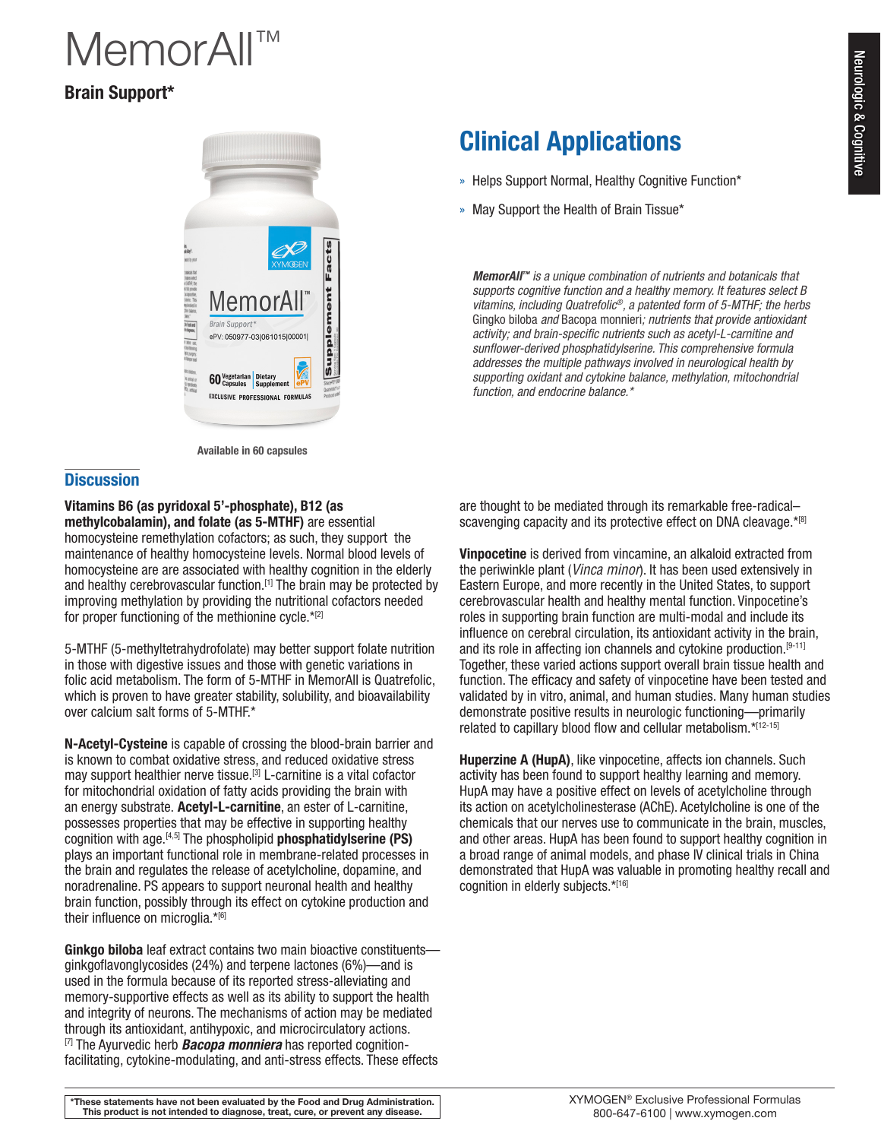# Neurologic & Cognitive Neurologic & Cognitive

# **MemorAll**

## Brain Support\*



Available in 60 capsules

#### **Discussion**

## Vitamins B6 (as pyridoxal 5'-phosphate), B12 (as

methylcobalamin), and folate (as 5-MTHF) are essential homocysteine remethylation cofactors; as such, they support the maintenance of healthy homocysteine levels. Normal blood levels of homocysteine are are associated with healthy cognition in the elderly and healthy cerebrovascular function.[1] The brain may be protected by improving methylation by providing the nutritional cofactors needed for proper functioning of the methionine cycle.\*[2]

5-MTHF (5-methyltetrahydrofolate) may better support folate nutrition in those with digestive issues and those with genetic variations in folic acid metabolism. The form of 5-MTHF in MemorAll is Quatrefolic, which is proven to have greater stability, solubility, and bioavailability over calcium salt forms of 5-MTHF.\*

N-Acetyl-Cysteine is capable of crossing the blood-brain barrier and is known to combat oxidative stress, and reduced oxidative stress may support healthier nerve tissue.<sup>[3]</sup> L-carnitine is a vital cofactor for mitochondrial oxidation of fatty acids providing the brain with an energy substrate. Acetyl-L-carnitine, an ester of L-carnitine, possesses properties that may be effective in supporting healthy cognition with age.<sup>[4,5]</sup> The phospholipid **phosphatidylserine (PS)** plays an important functional role in membrane-related processes in the brain and regulates the release of acetylcholine, dopamine, and noradrenaline. PS appears to support neuronal health and healthy brain function, possibly through its effect on cytokine production and their influence on microglia.\*[6]

Ginkgo biloba leaf extract contains two main bioactive constituentsginkgoflavonglycosides (24%) and terpene lactones (6%)—and is used in the formula because of its reported stress-alleviating and memory-supportive effects as well as its ability to support the health and integrity of neurons. The mechanisms of action may be mediated through its antioxidant, antihypoxic, and microcirculatory actions. [7] The Ayurvedic herb *Bacopa monniera* has reported cognitionfacilitating, cytokine-modulating, and anti-stress effects. These effects

# Clinical Applications

- » Helps Support Normal, Healthy Cognitive Function\*
- » May Support the Health of Brain Tissue\*

*MemorAll™ is a unique combination of nutrients and botanicals that supports cognitive function and a healthy memory. It features select B vitamins, including Quatrefolic®, a patented form of 5-MTHF; the herbs*  Gingko biloba *and* Bacopa monnieri*; nutrients that provide antioxidant activity; and brain-specific nutrients such as acetyl-L-carnitine and sunflower-derived phosphatidylserine. This comprehensive formula addresses the multiple pathways involved in neurological health by supporting oxidant and cytokine balance, methylation, mitochondrial function, and endocrine balance.\**

are thought to be mediated through its remarkable free-radical– scavenging capacity and its protective effect on DNA cleavage.\*[8]

Vinpocetine is derived from vincamine, an alkaloid extracted from the periwinkle plant (*Vinca minor*). It has been used extensively in Eastern Europe, and more recently in the United States, to support cerebrovascular health and healthy mental function. Vinpocetine's roles in supporting brain function are multi-modal and include its influence on cerebral circulation, its antioxidant activity in the brain, and its role in affecting ion channels and cytokine production.<sup>[9-11]</sup> Together, these varied actions support overall brain tissue health and function. The efficacy and safety of vinpocetine have been tested and validated by in vitro, animal, and human studies. Many human studies demonstrate positive results in neurologic functioning—primarily related to capillary blood flow and cellular metabolism.\*[12-15]

Huperzine A (HupA), like vinpocetine, affects ion channels. Such activity has been found to support healthy learning and memory. HupA may have a positive effect on levels of acetylcholine through its action on acetylcholinesterase (AChE). Acetylcholine is one of the chemicals that our nerves use to communicate in the brain, muscles, and other areas. HupA has been found to support healthy cognition in a broad range of animal models, and phase IV clinical trials in China demonstrated that HupA was valuable in promoting healthy recall and cognition in elderly subjects.\*[16]